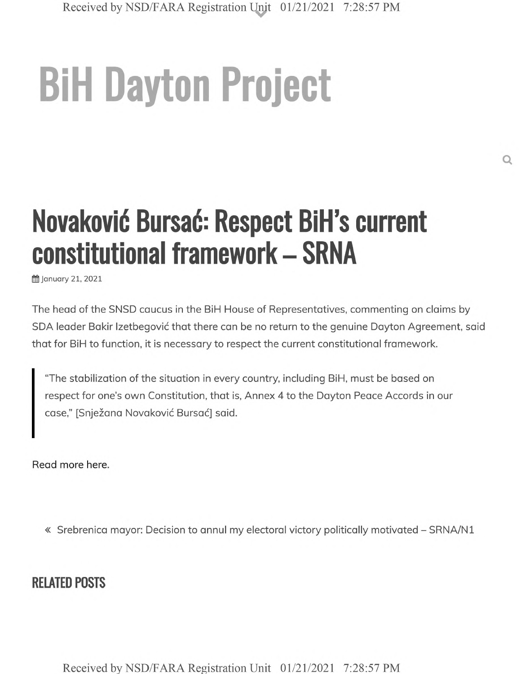## **BiH Dayton Project**

## **Novakovid Bursad: Respect BiH's current constitutional framework - SRNA**

ft January 21, 2021

The head of the SNSD caucus in the BiH House of Representatives, commenting on claims by SDA leader Bakir Izetbegović that there can be no return to the genuine Dayton Agreement, said that for BiH to function, it is necessary to respect the current constitutional framework.

"The stabilization of the situation in every country, including BiH, must be based on respect for one's own Constitution, that is, Annex 4 to the Dayton Peace Accords in our case," [Snježana Novaković Bursać] said.

Read more here.

« Srebrenica mayor: Decision to annul my electoral victory politically motivated - SRNA/N1

## **RELATED POSTS**

Received by NSD/FARA Registration Unit 01/21/2021 7:28:57 PM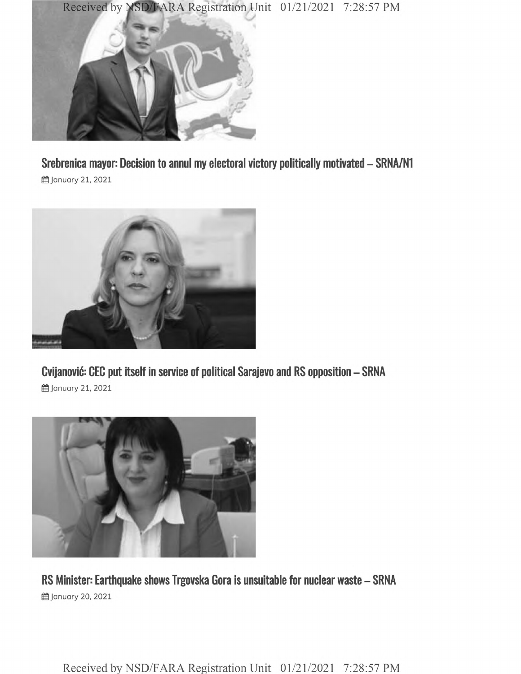



**Srebrenica mayor: Decision to annul my electoral victory politically motivated - SRNA/N1** H January 21, 2021



**Cvijanovic: CEC put itself in service of political Sarajevo and RS opposition - SRNA 的 January 21, 2021** 



**RS Minister: Earthquake shows Trgovska Gora is unsuitable for nuclear waste - SRNA i** January 20, 2021

Received by NSD/FARA Registration Unit 01/21/2021 7:28:57 PM